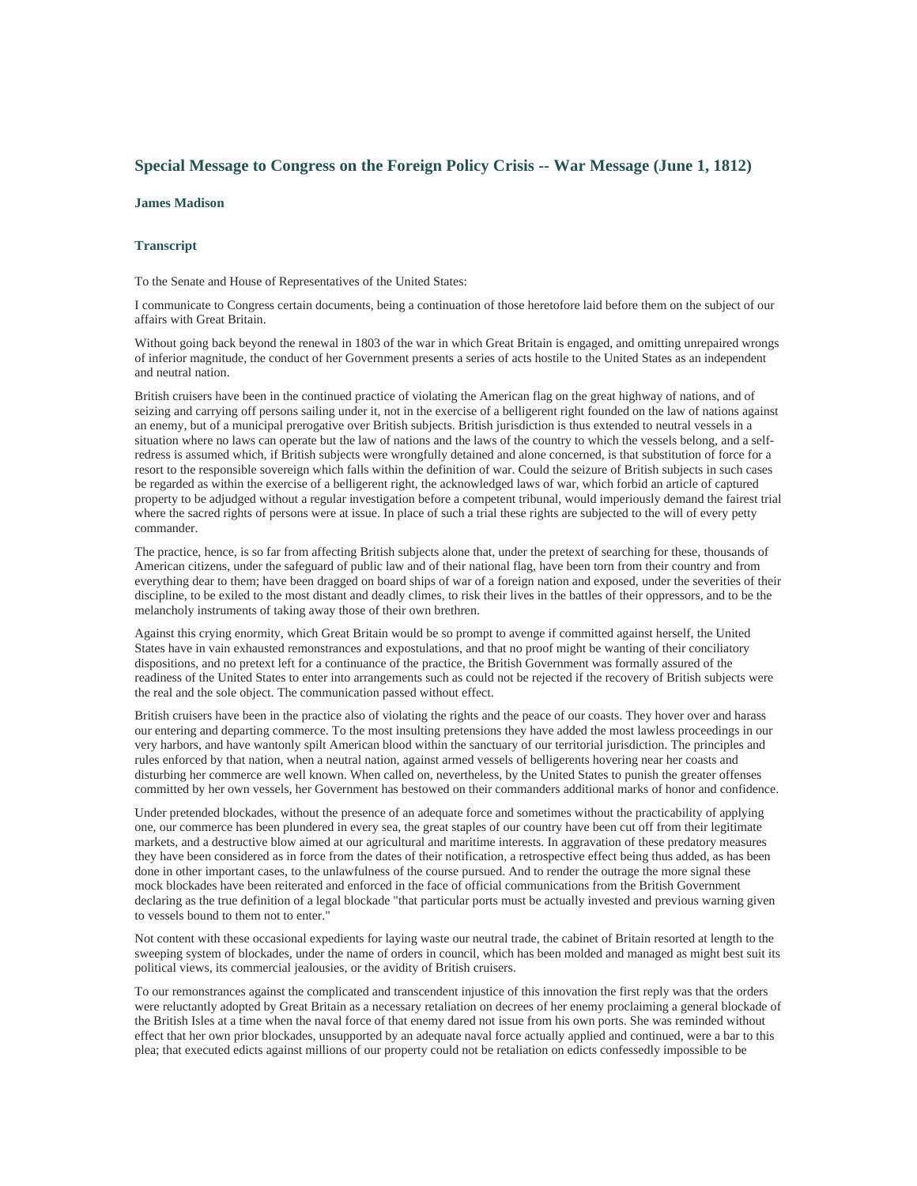## **Special Message to Congress on the Foreign Policy Crisis -- War Message (June 1, 1812)**

## **James Madison**

## **Transcript**

To the Senate and House of Representatives of the United States:

I communicate to Congress certain documents, being a continuation of those heretofore laid before them on the subject of our affairs with Great Britain.

Without going back beyond the renewal in 1803 of the war in which Great Britain is engaged, and omitting unrepaired wrongs of inferior magnitude, the conduct of her Government presents a series of acts hostile to the United States as an independent and neutral nation.

British cruisers have been in the continued practice of violating the American flag on the great highway of nations, and of seizing and carrying off persons sailing under it, not in the exercise of a belligerent right founded on the law of nations against an enemy, but of a municipal prerogative over British subjects. British jurisdiction is thus extended to neutral vessels in a situation where no laws can operate but the law of nations and the laws of the country to which the vessels belong, and a selfredress is assumed which, if British subjects were wrongfully detained and alone concerned, is that substitution of force for a resort to the responsible sovereign which falls within the definition of war. Could the seizure of British subjects in such cases be regarded as within the exercise of a belligerent right, the acknowledged laws of war, which forbid an article of captured property to be adjudged without a regular investigation before a competent tribunal, would imperiously demand the fairest trial where the sacred rights of persons were at issue. In place of such a trial these rights are subjected to the will of every petty commander.

The practice, hence, is so far from affecting British subjects alone that, under the pretext of searching for these, thousands of American citizens, under the safeguard of public law and of their national flag, have been torn from their country and from everything dear to them; have been dragged on board ships of war of a foreign nation and exposed, under the severities of their discipline, to be exiled to the most distant and deadly climes, to risk their lives in the battles of their oppressors, and to be the melancholy instruments of taking away those of their own brethren.

Against this crying enormity, which Great Britain would be so prompt to avenge if committed against herself, the United States have in vain exhausted remonstrances and expostulations, and that no proof might be wanting of their conciliatory dispositions, and no pretext left for a continuance of the practice, the British Government was formally assured of the readiness of the United States to enter into arrangements such as could not be rejected if the recovery of British subjects were the real and the sole object. The communication passed without effect.

British cruisers have been in the practice also of violating the rights and the peace of our coasts. They hover over and harass our entering and departing commerce. To the most insulting pretensions they have added the most lawless proceedings in our very harbors, and have wantonly spilt American blood within the sanctuary of our territorial jurisdiction. The principles and rules enforced by that nation, when a neutral nation, against armed vessels of belligerents hovering near her coasts and disturbing her commerce are well known. When called on, nevertheless, by the United States to punish the greater offenses committed by her own vessels, her Government has bestowed on their commanders additional marks of honor and confidence.

Under pretended blockades, without the presence of an adequate force and sometimes without the practicability of applying one, our commerce has been plundered in every sea, the great staples of our country have been cut off from their legitimate markets, and a destructive blow aimed at our agricultural and maritime interests. In aggravation of these predatory measures they have been considered as in force from the dates of their notification, a retrospective effect being thus added, as has been done in other important cases, to the unlawfulness of the course pursued. And to render the outrage the more signal these mock blockades have been reiterated and enforced in the face of official communications from the British Government declaring as the true definition of a legal blockade "that particular ports must be actually invested and previous warning given to vessels bound to them not to enter."

Not content with these occasional expedients for laying waste our neutral trade, the cabinet of Britain resorted at length to the sweeping system of blockades, under the name of orders in council, which has been molded and managed as might best suit its political views, its commercial jealousies, or the avidity of British cruisers.

To our remonstrances against the complicated and transcendent injustice of this innovation the first reply was that the orders were reluctantly adopted by Great Britain as a necessary retaliation on decrees of her enemy proclaiming a general blockade of the British Isles at a time when the naval force of that enemy dared not issue from his own ports. She was reminded without effect that her own prior blockades, unsupported by an adequate naval force actually applied and continued, were a bar to this plea; that executed edicts against millions of our property could not be retaliation on edicts confessedly impossible to be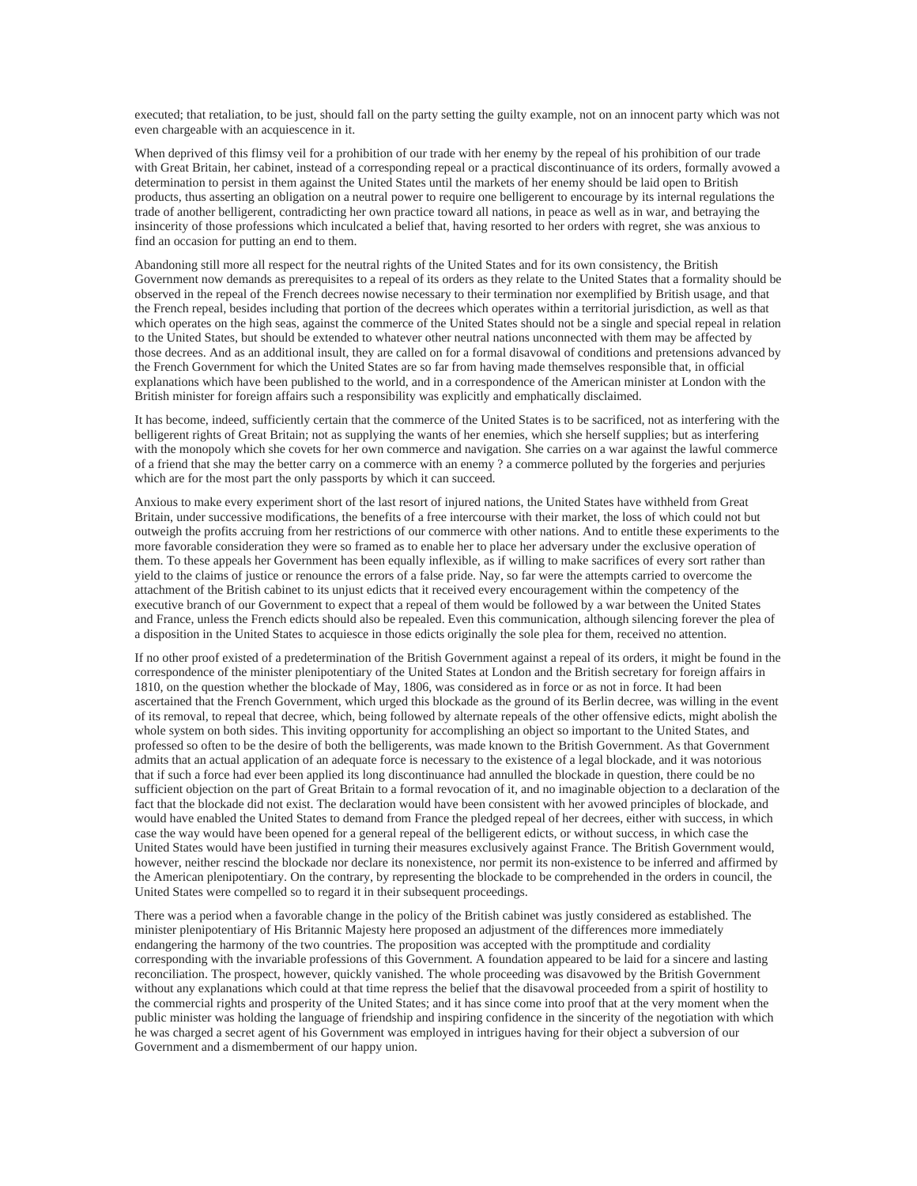executed; that retaliation, to be just, should fall on the party setting the guilty example, not on an innocent party which was not even chargeable with an acquiescence in it.

When deprived of this flimsy veil for a prohibition of our trade with her enemy by the repeal of his prohibition of our trade with Great Britain, her cabinet, instead of a corresponding repeal or a practical discontinuance of its orders, formally avowed a determination to persist in them against the United States until the markets of her enemy should be laid open to British products, thus asserting an obligation on a neutral power to require one belligerent to encourage by its internal regulations the trade of another belligerent, contradicting her own practice toward all nations, in peace as well as in war, and betraying the insincerity of those professions which inculcated a belief that, having resorted to her orders with regret, she was anxious to find an occasion for putting an end to them.

Abandoning still more all respect for the neutral rights of the United States and for its own consistency, the British Government now demands as prerequisites to a repeal of its orders as they relate to the United States that a formality should be observed in the repeal of the French decrees nowise necessary to their termination nor exemplified by British usage, and that the French repeal, besides including that portion of the decrees which operates within a territorial jurisdiction, as well as that which operates on the high seas, against the commerce of the United States should not be a single and special repeal in relation to the United States, but should be extended to whatever other neutral nations unconnected with them may be affected by those decrees. And as an additional insult, they are called on for a formal disavowal of conditions and pretensions advanced by the French Government for which the United States are so far from having made themselves responsible that, in official explanations which have been published to the world, and in a correspondence of the American minister at London with the British minister for foreign affairs such a responsibility was explicitly and emphatically disclaimed.

It has become, indeed, sufficiently certain that the commerce of the United States is to be sacrificed, not as interfering with the belligerent rights of Great Britain; not as supplying the wants of her enemies, which she herself supplies; but as interfering with the monopoly which she covets for her own commerce and navigation. She carries on a war against the lawful commerce of a friend that she may the better carry on a commerce with an enemy ? a commerce polluted by the forgeries and perjuries which are for the most part the only passports by which it can succeed.

Anxious to make every experiment short of the last resort of injured nations, the United States have withheld from Great Britain, under successive modifications, the benefits of a free intercourse with their market, the loss of which could not but outweigh the profits accruing from her restrictions of our commerce with other nations. And to entitle these experiments to the more favorable consideration they were so framed as to enable her to place her adversary under the exclusive operation of them. To these appeals her Government has been equally inflexible, as if willing to make sacrifices of every sort rather than yield to the claims of justice or renounce the errors of a false pride. Nay, so far were the attempts carried to overcome the attachment of the British cabinet to its unjust edicts that it received every encouragement within the competency of the executive branch of our Government to expect that a repeal of them would be followed by a war between the United States and France, unless the French edicts should also be repealed. Even this communication, although silencing forever the plea of a disposition in the United States to acquiesce in those edicts originally the sole plea for them, received no attention.

If no other proof existed of a predetermination of the British Government against a repeal of its orders, it might be found in the correspondence of the minister plenipotentiary of the United States at London and the British secretary for foreign affairs in 1810, on the question whether the blockade of May, 1806, was considered as in force or as not in force. It had been ascertained that the French Government, which urged this blockade as the ground of its Berlin decree, was willing in the event of its removal, to repeal that decree, which, being followed by alternate repeals of the other offensive edicts, might abolish the whole system on both sides. This inviting opportunity for accomplishing an object so important to the United States, and professed so often to be the desire of both the belligerents, was made known to the British Government. As that Government admits that an actual application of an adequate force is necessary to the existence of a legal blockade, and it was notorious that if such a force had ever been applied its long discontinuance had annulled the blockade in question, there could be no sufficient objection on the part of Great Britain to a formal revocation of it, and no imaginable objection to a declaration of the fact that the blockade did not exist. The declaration would have been consistent with her avowed principles of blockade, and would have enabled the United States to demand from France the pledged repeal of her decrees, either with success, in which case the way would have been opened for a general repeal of the belligerent edicts, or without success, in which case the United States would have been justified in turning their measures exclusively against France. The British Government would, however, neither rescind the blockade nor declare its nonexistence, nor permit its non-existence to be inferred and affirmed by the American plenipotentiary. On the contrary, by representing the blockade to be comprehended in the orders in council, the United States were compelled so to regard it in their subsequent proceedings.

There was a period when a favorable change in the policy of the British cabinet was justly considered as established. The minister plenipotentiary of His Britannic Majesty here proposed an adjustment of the differences more immediately endangering the harmony of the two countries. The proposition was accepted with the promptitude and cordiality corresponding with the invariable professions of this Government. A foundation appeared to be laid for a sincere and lasting reconciliation. The prospect, however, quickly vanished. The whole proceeding was disavowed by the British Government without any explanations which could at that time repress the belief that the disavowal proceeded from a spirit of hostility to the commercial rights and prosperity of the United States; and it has since come into proof that at the very moment when the public minister was holding the language of friendship and inspiring confidence in the sincerity of the negotiation with which he was charged a secret agent of his Government was employed in intrigues having for their object a subversion of our Government and a dismemberment of our happy union.